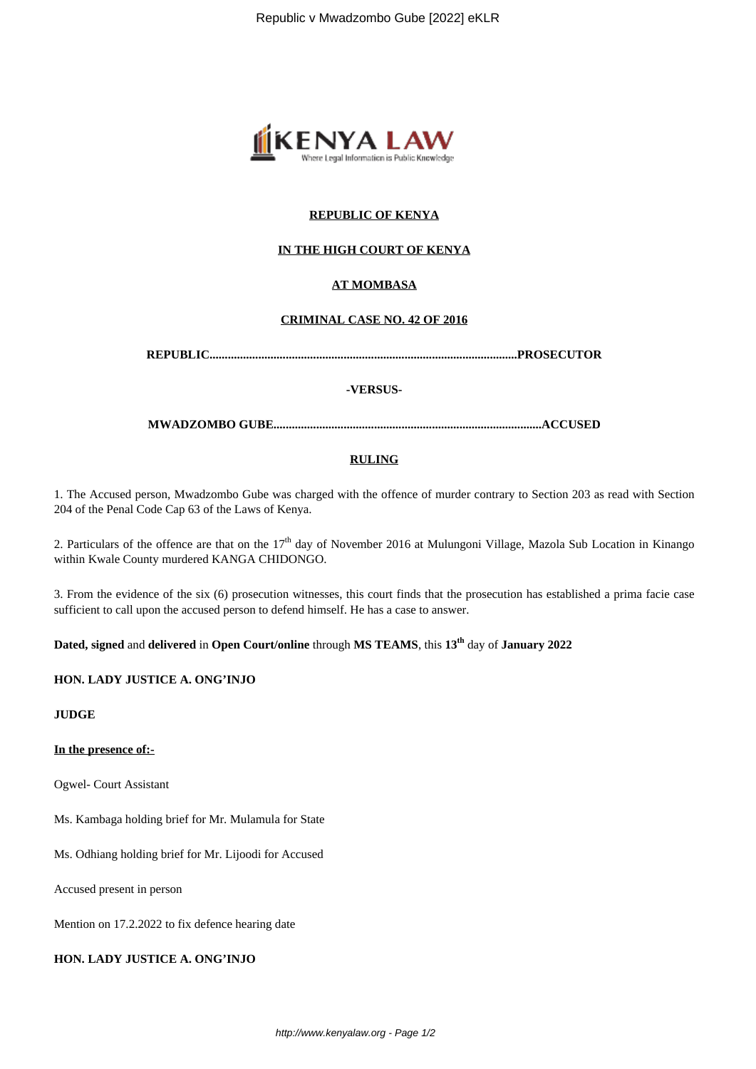

## **REPUBLIC OF KENYA**

## **IN THE HIGH COURT OF KENYA**

# **AT MOMBASA**

## **CRIMINAL CASE NO. 42 OF 2016**

**REPUBLIC.....................................................................................................PROSECUTOR**

#### **-VERSUS-**

**MWADZOMBO GUBE........................................................................................ACCUSED**

## **RULING**

1. The Accused person, Mwadzombo Gube was charged with the offence of murder contrary to Section 203 as read with Section 204 of the Penal Code Cap 63 of the Laws of Kenya.

2. Particulars of the offence are that on the  $17<sup>th</sup>$  day of November 2016 at Mulungoni Village, Mazola Sub Location in Kinango within Kwale County murdered KANGA CHIDONGO.

3. From the evidence of the six (6) prosecution witnesses, this court finds that the prosecution has established a prima facie case sufficient to call upon the accused person to defend himself. He has a case to answer.

**Dated, signed** and **delivered** in **Open Court/online** through **MS TEAMS**, this **13th** day of **January 2022**

#### **HON. LADY JUSTICE A. ONG'INJO**

**JUDGE**

**In the presence of:-**

Ogwel- Court Assistant

Ms. Kambaga holding brief for Mr. Mulamula for State

Ms. Odhiang holding brief for Mr. Lijoodi for Accused

Accused present in person

Mention on 17.2.2022 to fix defence hearing date

**HON. LADY JUSTICE A. ONG'INJO**